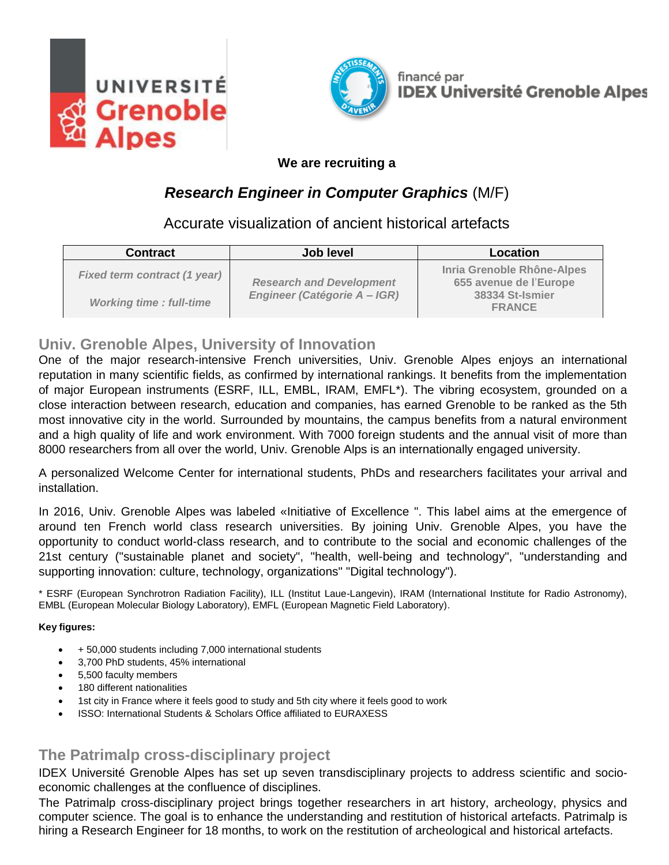



#### **We are recruiting a**

# *Research Engineer in Computer Graphics* (M/F)

## Accurate visualization of ancient historical artefacts

| <b>Contract</b>                     | <b>Job level</b>                                                | <b>Location</b>                                      |
|-------------------------------------|-----------------------------------------------------------------|------------------------------------------------------|
| <b>Fixed term contract (1 year)</b> | <b>Research and Development</b><br>Engineer (Catégorie A - IGR) | Inria Grenoble Rhône-Alpes<br>655 avenue de l'Europe |
| <b>Working time: full-time</b>      |                                                                 | 38334 St-Ismier<br><b>FRANCE</b>                     |

### **Univ. Grenoble Alpes, University of Innovation**

One of the major research-intensive French universities, Univ. Grenoble Alpes enjoys an international reputation in many scientific fields, as confirmed by international rankings. It benefits from the implementation of major European instruments (ESRF, ILL, EMBL, IRAM, EMFL\*). The vibring ecosystem, grounded on a close interaction between research, education and companies, has earned Grenoble to be ranked as the 5th most innovative city in the world. Surrounded by mountains, the campus benefits from a natural environment and a high quality of life and work environment. With 7000 foreign students and the annual visit of more than 8000 researchers from all over the world, Univ. Grenoble Alps is an internationally engaged university.

A personalized Welcome Center for international students, PhDs and researchers facilitates your arrival and installation.

In 2016, Univ. Grenoble Alpes was labeled «Initiative of Excellence ". This label aims at the emergence of around ten French world class research universities. By joining Univ. Grenoble Alpes, you have the opportunity to conduct world-class research, and to contribute to the social and economic challenges of the 21st century ("sustainable planet and society", "health, well-being and technology", "understanding and supporting innovation: culture, technology, organizations" "Digital technology").

\* ESRF (European Synchrotron Radiation Facility), ILL (Institut Laue-Langevin), IRAM (International Institute for Radio Astronomy), EMBL (European Molecular Biology Laboratory), EMFL (European Magnetic Field Laboratory).

#### **Key figures:**

- + 50,000 students including 7,000 international students
- 3,700 PhD students, 45% international
- 5,500 faculty members
- 180 different nationalities
- 1st city in France where it feels good to study and 5th city where it feels good to work
- ISSO: International Students & Scholars Office affiliated to EURAXESS

### **The Patrimalp cross-disciplinary project**

IDEX Université Grenoble Alpes has set up seven transdisciplinary projects to address scientific and socioeconomic challenges at the confluence of disciplines.

The Patrimalp cross-disciplinary project brings together researchers in art history, archeology, physics and computer science. The goal is to enhance the understanding and restitution of historical artefacts. Patrimalp is hiring a Research Engineer for 18 months, to work on the restitution of archeological and historical artefacts.